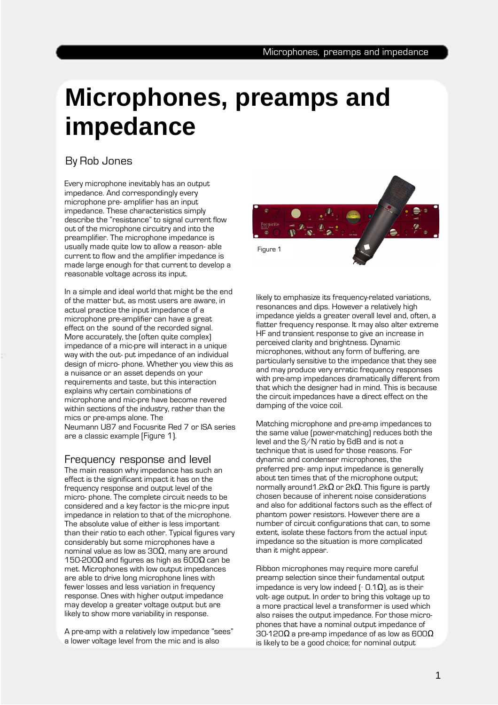# **Microphones, preamps and impedance**

## By Rob Jones

Every microphone inevitably has an output impedance. And correspondingly every microphone pre- amplifier has an input impedance. These characteristics simply describe the "resistance" to signal current flow out of the microphone circuitry and into the preamplifier. The microphone impedance is usually made quite low to allow a reason- able current to flow and the amplifier impedance is made large enough for that current to develop a reasonable voltage across its input.

In a simple and ideal world that might be the end of the matter but, as most users are aware, in actual practice the input impedance of a microphone pre-amplifier can have a great effect on the sound of the recorded signal. More accurately, the (often quite complex) impedance of a mic-pre will interact in a unique way with the out- put impedance of an individual design of micro- phone. Whether you view this as a nuisance or an asset depends on your requirements and taste, but this interaction explains why certain combinations of microphone and mic-pre have become revered within sections of the industry, rather than the mics or pre-amps alone. The Neumann U87 and Focusrite Red 7 or ISA series are a classic example [Figure 1).

#### Frequency response and level

The main reason why impedance has such an effect is the significant impact it has on the frequency response and output level of the micro- phone. The complete circuit needs to be considered and a key factor is the mic-pre input impedance in relation to that of the microphone. The absolute value of either is less important than their ratio to each other. Typical figures vary considerably but some microphones have a nominal value as low as  $30Ω$ , many are around 150-200 $\Omega$  and figures as high as 600 $\Omega$  can be met. Microphones with low output impedances are able to drive long microphone lines with fewer losses and less variation in frequency response. Ones with higher output impedance may develop a greater voltage output but are likely to show more variability in response.

A pre-amp with a relatively low impedance "sees" a lower voltage level from the mic and is also



likely to emphasize its frequency-related variations, resonances and dips. However a relatively high impedance yields a greater overall level and, often, a flatter frequency response. It may also alter extreme HF and transient response to give an increase in perceived clarity and brightness. Dynamic microphones, without any form of buffering, are particularly sensitive to the impedance that they see and may produce very erratic frequency responses with pre-amp impedances dramatically different from that which the designer had in mind. This is because the circuit impedances have a direct effect on the damping of the voice coil.

Matching microphone and pre-amp impedances to the same value (power-matching) reduces both the level and the S/N ratio by 6dB and is not a technique that is used for those reasons. For dynamic and condenser microphones, the preferred pre- amp input impedance is generally about ten times that of the microphone output; normally around 1.2k $Ω$  or 2k $Ω$ . This figure is partly chosen because of inherent noise considerations and also for additional factors such as the effect of phantom power resistors. However there are a number of circuit configurations that can, to some extent, isolate these factors from the actual input impedance so the situation is more complicated than it might appear.

Ribbon microphones may require more careful preamp selection since their fundamental output impedance is very low indeed [ $\sim$  0.1 $\Omega$ ], as is their volt- age output. In order to bring this voltage up to a more practical level a transformer is used which also raises the output impedance. For those microphones that have a nominal output impedance of 30-120 $\Omega$  a pre-amp impedance of as low as 600 $\Omega$ is likely to be a good choice; for nominal output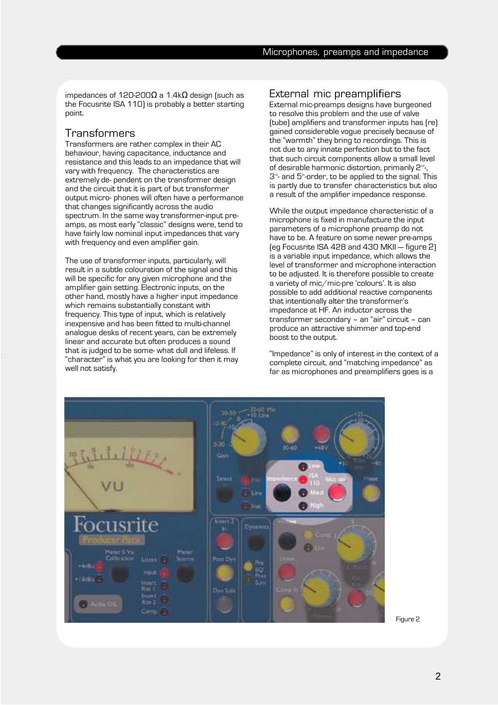impedances of 120-200 $Ω$  a 1.4k $Ω$  design (such as the Focusrite ISA 110) is probably a better starting point.

### **Transformers**

Transformers are rather complex in their AC behaviour, having capacitance, inductance and resistance and this leads to an impedance that will vary with frequency. The characteristics are extremely de- pendent on the transformer design and the circuit that it is part of but transformer output micro- phones will often have a performance that changes significantly across the audio spectrum. In the same way transformer-input preamps, as most early "classic" designs were, tend to have fairly low nominal input impedances that vary with frequency and even amplifier gain.

The use of transformer inputs, particularly, will result in a subtle colouration of the signal and this will be specific for any given microphone and the amplifier gain setting. Electronic inputs, on the other hand, mostly have a higher input impedance which remains substantially constant with frequency. This type of input, which is relatively inexpensive and has been fitted to multi-channel analogue desks of recent years, can be extremely linear and accurate but often produces a sound that is judged to be some- what dull and lifeless. If "character" is what you are looking for then it may well not satisfy.

## External mic preamplifiers

External mic-preamps designs have burgeoned to resolve this problem and the use of valve (tube) amplifiers and transformer inputs has (re) gained considerable vogue precisely because of the "warmth" they bring to recordings. This is not due to any innate perfection but to the fact that such circuit components allow a small level of desirable harmonic distortion, primarily 2<sup>nd</sup>, 3<sup>rd</sup>- and 5<sup>th</sup>-order, to be applied to the signal. This is partly due to transfer characteristics but also a result of the amplifier impedance response.

While the output impedance characteristic of a microphone is fixed in manufacture the input parameters of a microphone preamp do not have to be. A feature on some newer pre-amps (eg Focusrite ISA 428 and 430 MKII — figure 2) is a variable input impedance, which allows the level of transformer and microphone interaction to be adjusted. It is therefore possible to create a variety of mic/mic-pre 'colours'. It is also possible to add additional reactive components that intentionally alter the transformer's impedance at HF. An inductor across the transformer secondary – an "air" circuit – can produce an attractive shimmer and top-end boost to the output.

"Impedance" is only of interest in the context of a complete circuit, and "matching impedance" as far as microphones and preamplifiers goes is a



Figure 2